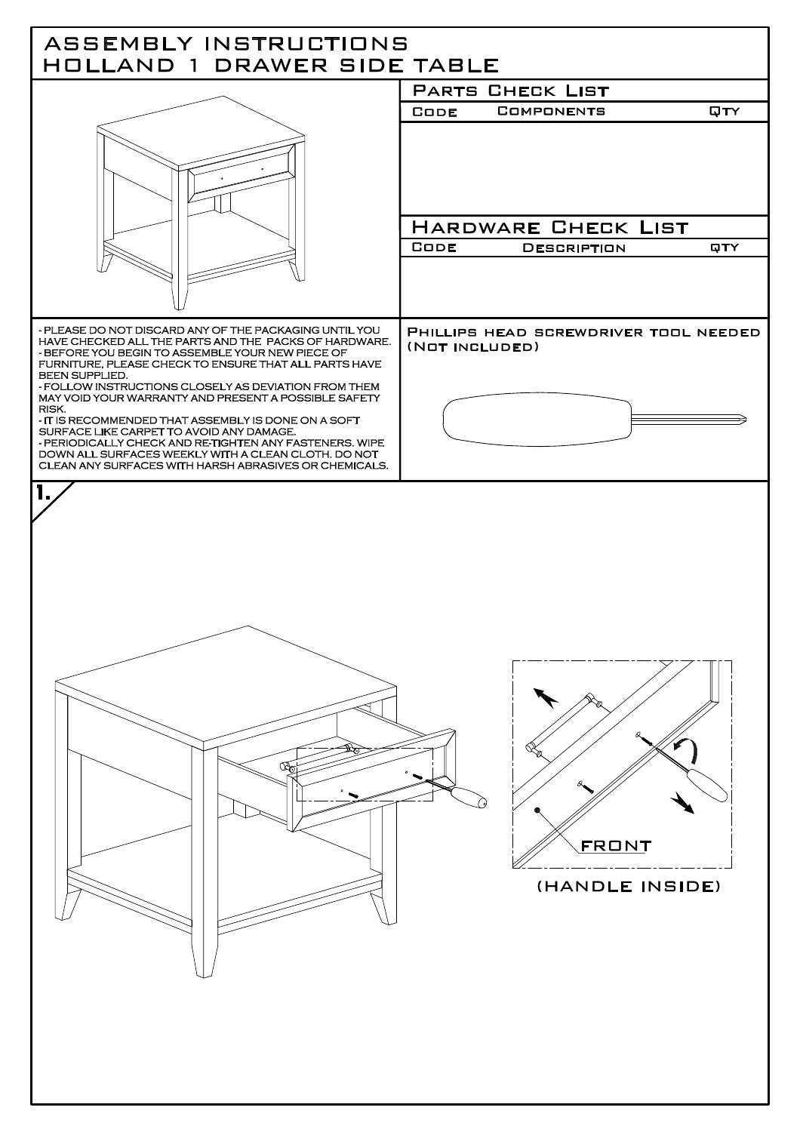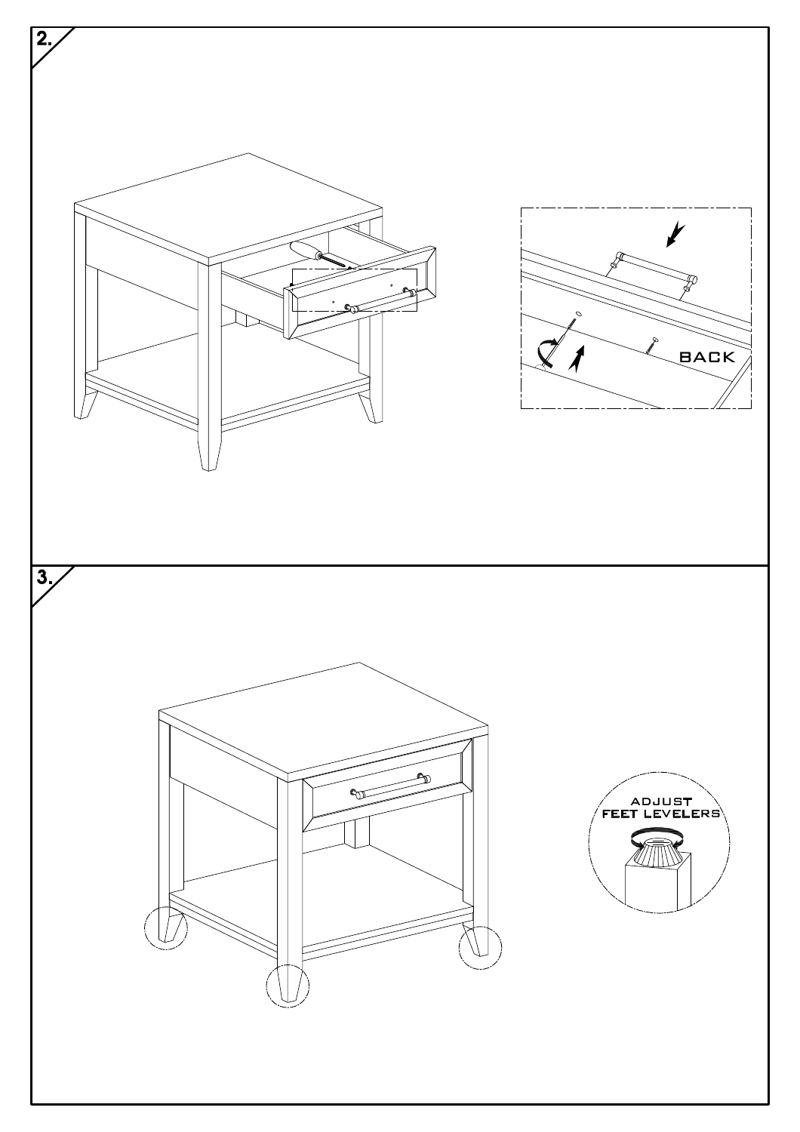